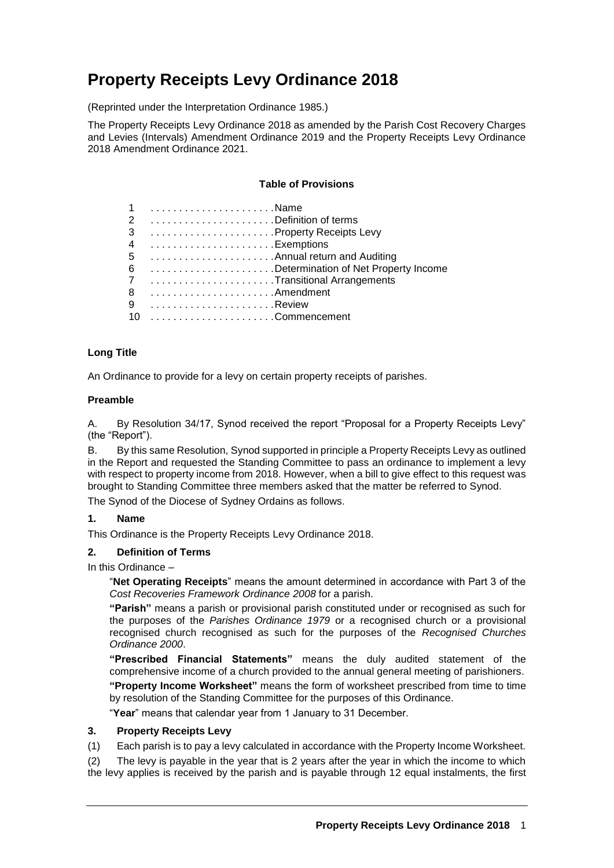# **Property Receipts Levy Ordinance 2018**

(Reprinted under the Interpretation Ordinance 1985.)

The Property Receipts Levy Ordinance 2018 as amended by the Parish Cost Recovery Charges and Levies (Intervals) Amendment Ordinance 2019 and the Property Receipts Levy Ordinance 2018 Amendment Ordinance 2021.

#### **Table of Provisions**

|        | 1 Name                                 |
|--------|----------------------------------------|
|        | 2 Definition of terms                  |
| 3      | Property Receipts Levy                 |
|        | Exemptions                             |
| 4<br>5 | Annual return and Auditing             |
|        | 6 Determination of Net Property Income |
|        | 7 Transitional Arrangements            |
| 8      |                                        |
| 9      |                                        |
|        |                                        |

#### **Long Title**

An Ordinance to provide for a levy on certain property receipts of parishes.

## **Preamble**

A. By Resolution 34/17, Synod received the report "Proposal for a Property Receipts Levy" (the "Report").

B. By this same Resolution, Synod supported in principle a Property Receipts Levy as outlined in the Report and requested the Standing Committee to pass an ordinance to implement a levy with respect to property income from 2018. However, when a bill to give effect to this request was brought to Standing Committee three members asked that the matter be referred to Synod.

The Synod of the Diocese of Sydney Ordains as follows.

## **1. Name**

This Ordinance is the Property Receipts Levy Ordinance 2018.

## **2. Definition of Terms**

In this Ordinance –

"**Net Operating Receipts**" means the amount determined in accordance with Part 3 of the *Cost Recoveries Framework Ordinance 2008* for a parish.

**"Parish"** means a parish or provisional parish constituted under or recognised as such for the purposes of the *Parishes Ordinance 1979* or a recognised church or a provisional recognised church recognised as such for the purposes of the *Recognised Churches Ordinance 2000*.

**"Prescribed Financial Statements"** means the duly audited statement of the comprehensive income of a church provided to the annual general meeting of parishioners.

**"Property Income Worksheet"** means the form of worksheet prescribed from time to time by resolution of the Standing Committee for the purposes of this Ordinance.

"**Year**" means that calendar year from 1 January to 31 December.

#### **3. Property Receipts Levy**

(1) Each parish is to pay a levy calculated in accordance with the Property Income Worksheet.

(2) The levy is payable in the year that is 2 years after the year in which the income to which the levy applies is received by the parish and is payable through 12 equal instalments, the first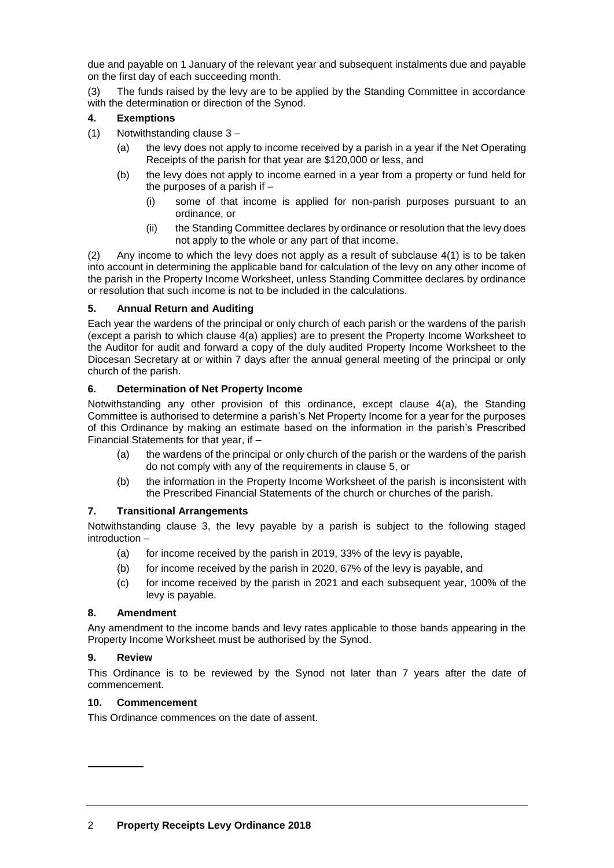due and payable on 1 January of the relevant year and subsequent instalments due and payable on the first day of each succeeding month.

(3) The funds raised by the levy are to be applied by the Standing Committee in accordance with the determination or direction of the Synod.

## **4. Exemptions**

- (1) Notwithstanding clause 3
	- (a) the levy does not apply to income received by a parish in a year if the Net Operating Receipts of the parish for that year are \$120,000 or less, and
	- (b) the levy does not apply to income earned in a year from a property or fund held for the purposes of a parish if –
		- (i) some of that income is applied for non-parish purposes pursuant to an ordinance, or
		- (ii) the Standing Committee declares by ordinance or resolution that the levy does not apply to the whole or any part of that income.

(2) Any income to which the levy does not apply as a result of subclause 4(1) is to be taken into account in determining the applicable band for calculation of the levy on any other income of the parish in the Property Income Worksheet, unless Standing Committee declares by ordinance or resolution that such income is not to be included in the calculations.

# **5. Annual Return and Auditing**

Each year the wardens of the principal or only church of each parish or the wardens of the parish (except a parish to which clause 4(a) applies) are to present the Property Income Worksheet to the Auditor for audit and forward a copy of the duly audited Property Income Worksheet to the Diocesan Secretary at or within 7 days after the annual general meeting of the principal or only church of the parish.

# **6. Determination of Net Property Income**

Notwithstanding any other provision of this ordinance, except clause 4(a), the Standing Committee is authorised to determine a parish's Net Property Income for a year for the purposes of this Ordinance by making an estimate based on the information in the parish's Prescribed Financial Statements for that year, if –

- (a) the wardens of the principal or only church of the parish or the wardens of the parish do not comply with any of the requirements in clause 5, or
- (b) the information in the Property Income Worksheet of the parish is inconsistent with the Prescribed Financial Statements of the church or churches of the parish.

## **7. Transitional Arrangements**

Notwithstanding clause 3, the levy payable by a parish is subject to the following staged introduction –

- (a) for income received by the parish in 2019, 33% of the levy is payable,
- (b) for income received by the parish in 2020, 67% of the levy is payable, and
- (c) for income received by the parish in 2021 and each subsequent year, 100% of the levy is payable.

## **8. Amendment**

Any amendment to the income bands and levy rates applicable to those bands appearing in the Property Income Worksheet must be authorised by the Synod.

## **9. Review**

This Ordinance is to be reviewed by the Synod not later than 7 years after the date of commencement.

## **10. Commencement**

This Ordinance commences on the date of assent.